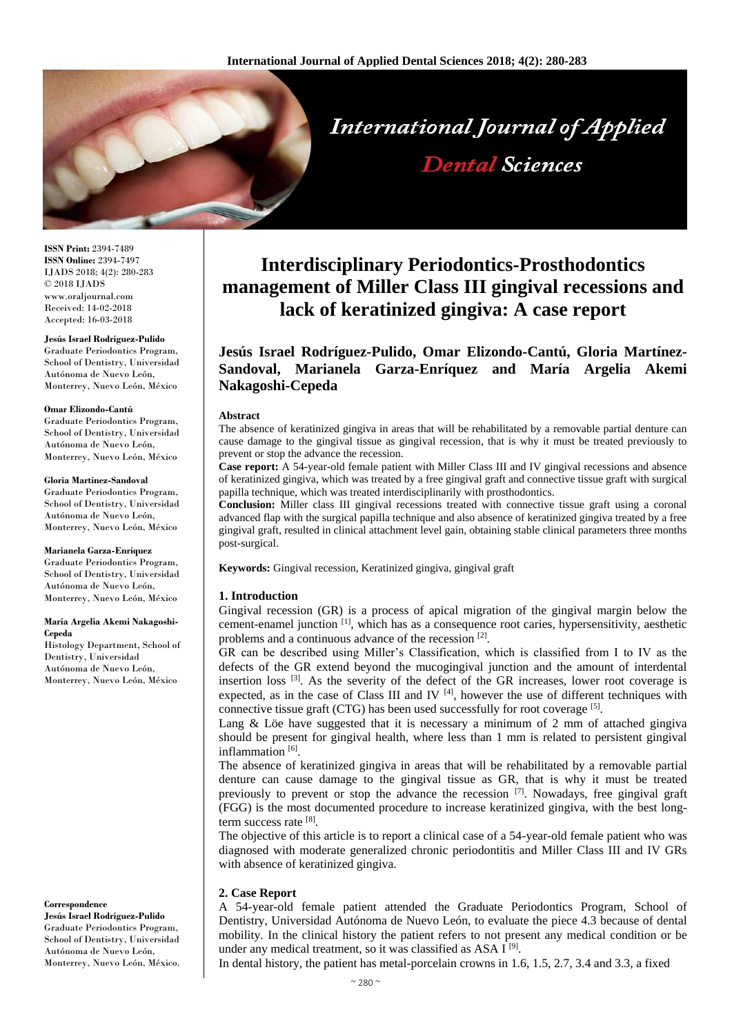

**ISSN Print:** 2394-7489 **ISSN Online:** 2394-7497 IJADS 2018; 4(2): 280-283 © 2018 IJADS www.oraljournal.com Received: 14-02-2018 Accepted: 16-03-2018

# **Jesús Israel Rodríguez-Pulido**

Graduate Periodontics Program, School of Dentistry, Universidad Autónoma de Nuevo León, Monterrey, Nuevo León, México

#### **Omar Elizondo-Cantú**

Graduate Periodontics Program, School of Dentistry, Universidad Autónoma de Nuevo León, Monterrey, Nuevo León, México

#### **Gloria Martínez-Sandoval**

Graduate Periodontics Program, School of Dentistry, Universidad Autónoma de Nuevo León, Monterrey, Nuevo León, México

#### **Marianela Garza-Enríquez**

Graduate Periodontics Program, School of Dentistry, Universidad Autónoma de Nuevo León, Monterrey, Nuevo León, México

#### **María Argelia Akemi Nakagoshi-Cepeda**

Histology Department, School of Dentistry, Universidad Autónoma de Nuevo León, Monterrey, Nuevo León, México

#### **Correspondence**

**Jesús Israel Rodríguez-Pulido** Graduate Periodontics Program, School of Dentistry, Universidad Autónoma de Nuevo León, Monterrey, Nuevo León, México.

# **Interdisciplinary Periodontics-Prosthodontics management of Miller Class III gingival recessions and lack of keratinized gingiva: A case report**

# **Jesús Israel Rodríguez-Pulido, Omar Elizondo-Cantú, Gloria Martínez-Sandoval, Marianela Garza-Enríquez and María Argelia Akemi Nakagoshi-Cepeda**

#### **Abstract**

The absence of keratinized gingiva in areas that will be rehabilitated by a removable partial denture can cause damage to the gingival tissue as gingival recession, that is why it must be treated previously to prevent or stop the advance the recession.

**Case report:** A 54-year-old female patient with Miller Class III and IV gingival recessions and absence of keratinized gingiva, which was treated by a free gingival graft and connective tissue graft with surgical papilla technique, which was treated interdisciplinarily with prosthodontics.

**Conclusion:** Miller class III gingival recessions treated with connective tissue graft using a coronal advanced flap with the surgical papilla technique and also absence of keratinized gingiva treated by a free gingival graft, resulted in clinical attachment level gain, obtaining stable clinical parameters three months post-surgical.

**Keywords:** Gingival recession, Keratinized gingiva, gingival graft

#### **1. Introduction**

Gingival recession (GR) is a process of apical migration of the gingival margin below the cement-enamel junction [1], which has as a consequence root caries, hypersensitivity, aesthetic problems and a continuous advance of the recession [2].

GR can be described using Miller's Classification, which is classified from I to IV as the defects of the GR extend beyond the mucogingival junction and the amount of interdental insertion loss  $[3]$ . As the severity of the defect of the GR increases, lower root coverage is expected, as in the case of Class III and IV  $^{[4]}$ , however the use of different techniques with connective tissue graft (CTG) has been used successfully for root coverage [5].

Lang  $\&$  Löe have suggested that it is necessary a minimum of 2 mm of attached gingiva should be present for gingival health, where less than 1 mm is related to persistent gingival inflammation<sup>[6]</sup>.

The absence of keratinized gingiva in areas that will be rehabilitated by a removable partial denture can cause damage to the gingival tissue as GR, that is why it must be treated previously to prevent or stop the advance the recession <sup>[7]</sup>. Nowadays, free gingival graft (FGG) is the most documented procedure to increase keratinized gingiva, with the best longterm success rate [8].

The objective of this article is to report a clinical case of a 54-year-old female patient who was diagnosed with moderate generalized chronic periodontitis and Miller Class III and IV GRs with absence of keratinized gingiva.

### **2. Case Report**

A 54-year-old female patient attended the Graduate Periodontics Program, School of Dentistry, Universidad Autónoma de Nuevo León, to evaluate the piece 4.3 because of dental mobility. In the clinical history the patient refers to not present any medical condition or be under any medical treatment, so it was classified as ASA I<sup>[9]</sup>.

In dental history, the patient has metal-porcelain crowns in 1.6, 1.5, 2.7, 3.4 and 3.3, a fixed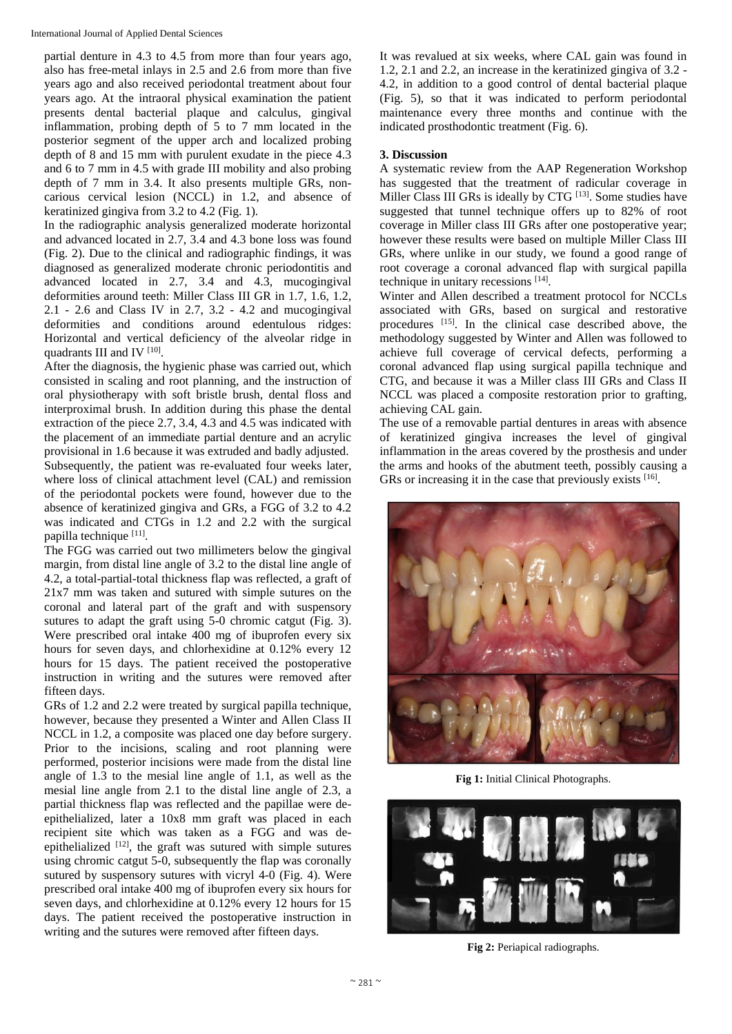partial denture in 4.3 to 4.5 from more than four years ago, also has free-metal inlays in 2.5 and 2.6 from more than five years ago and also received periodontal treatment about four years ago. At the intraoral physical examination the patient presents dental bacterial plaque and calculus, gingival inflammation, probing depth of 5 to 7 mm located in the posterior segment of the upper arch and localized probing depth of 8 and 15 mm with purulent exudate in the piece 4.3 and 6 to 7 mm in 4.5 with grade III mobility and also probing depth of 7 mm in 3.4. It also presents multiple GRs, noncarious cervical lesion (NCCL) in 1.2, and absence of keratinized gingiva from 3.2 to 4.2 (Fig. 1).

In the radiographic analysis generalized moderate horizontal and advanced located in 2.7, 3.4 and 4.3 bone loss was found (Fig. 2). Due to the clinical and radiographic findings, it was diagnosed as generalized moderate chronic periodontitis and advanced located in 2.7, 3.4 and 4.3, mucogingival deformities around teeth: Miller Class III GR in 1.7, 1.6, 1.2, 2.1 - 2.6 and Class IV in 2.7, 3.2 - 4.2 and mucogingival deformities and conditions around edentulous ridges: Horizontal and vertical deficiency of the alveolar ridge in quadrants III and IV  $^{[10]}$ .

After the diagnosis, the hygienic phase was carried out, which consisted in scaling and root planning, and the instruction of oral physiotherapy with soft bristle brush, dental floss and interproximal brush. In addition during this phase the dental extraction of the piece 2.7, 3.4, 4.3 and 4.5 was indicated with the placement of an immediate partial denture and an acrylic provisional in 1.6 because it was extruded and badly adjusted. Subsequently, the patient was re-evaluated four weeks later, where loss of clinical attachment level (CAL) and remission of the periodontal pockets were found, however due to the absence of keratinized gingiva and GRs, a FGG of 3.2 to 4.2 was indicated and CTGs in 1.2 and 2.2 with the surgical papilla technique [11].

The FGG was carried out two millimeters below the gingival margin, from distal line angle of 3.2 to the distal line angle of 4.2, a total-partial-total thickness flap was reflected, a graft of 21x7 mm was taken and sutured with simple sutures on the coronal and lateral part of the graft and with suspensory sutures to adapt the graft using 5-0 chromic catgut (Fig. 3). Were prescribed oral intake 400 mg of ibuprofen every six hours for seven days, and chlorhexidine at 0.12% every 12 hours for 15 days. The patient received the postoperative instruction in writing and the sutures were removed after fifteen days.

GRs of 1.2 and 2.2 were treated by surgical papilla technique, however, because they presented a Winter and Allen Class II NCCL in 1.2, a composite was placed one day before surgery. Prior to the incisions, scaling and root planning were performed, posterior incisions were made from the distal line angle of 1.3 to the mesial line angle of 1.1, as well as the mesial line angle from 2.1 to the distal line angle of 2.3, a partial thickness flap was reflected and the papillae were deepithelialized, later a 10x8 mm graft was placed in each recipient site which was taken as a FGG and was deepithelialized  $[12]$ , the graft was sutured with simple sutures using chromic catgut 5-0, subsequently the flap was coronally sutured by suspensory sutures with vicryl 4-0 (Fig. 4). Were prescribed oral intake 400 mg of ibuprofen every six hours for seven days, and chlorhexidine at 0.12% every 12 hours for 15 days. The patient received the postoperative instruction in writing and the sutures were removed after fifteen days.

It was revalued at six weeks, where CAL gain was found in 1.2, 2.1 and 2.2, an increase in the keratinized gingiva of 3.2 - 4.2, in addition to a good control of dental bacterial plaque (Fig. 5), so that it was indicated to perform periodontal maintenance every three months and continue with the indicated prosthodontic treatment (Fig. 6).

## **3. Discussion**

A systematic review from the AAP Regeneration Workshop has suggested that the treatment of radicular coverage in Miller Class III GRs is ideally by CTG<sup>[13]</sup>. Some studies have suggested that tunnel technique offers up to 82% of root coverage in Miller class III GRs after one postoperative year; however these results were based on multiple Miller Class III GRs, where unlike in our study, we found a good range of root coverage a coronal advanced flap with surgical papilla technique in unitary recessions [14] .

Winter and Allen described a treatment protocol for NCCLs associated with GRs, based on surgical and restorative procedures [15] . In the clinical case described above, the methodology suggested by Winter and Allen was followed to achieve full coverage of cervical defects, performing a coronal advanced flap using surgical papilla technique and CTG, and because it was a Miller class III GRs and Class II NCCL was placed a composite restoration prior to grafting, achieving CAL gain.

The use of a removable partial dentures in areas with absence of keratinized gingiva increases the level of gingival inflammation in the areas covered by the prosthesis and under the arms and hooks of the abutment teeth, possibly causing a GRs or increasing it in the case that previously exists [16].



**Fig 1:** Initial Clinical Photographs.



**Fig 2:** Periapical radiographs.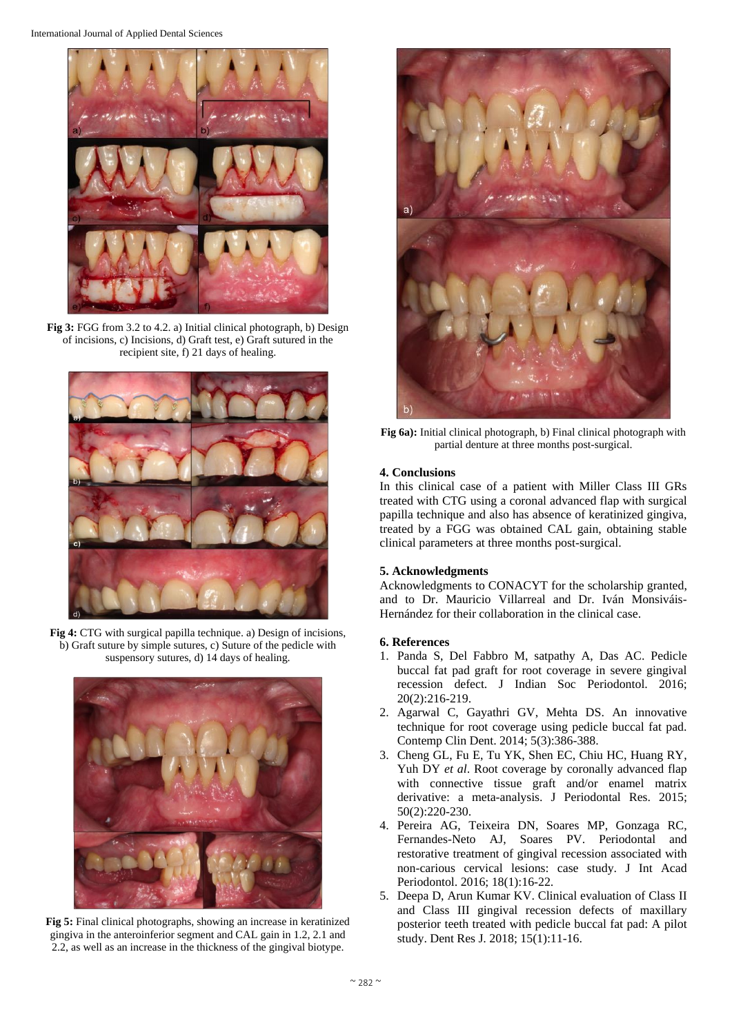International Journal of Applied Dental Sciences



**Fig 3:** FGG from 3.2 to 4.2. a) Initial clinical photograph, b) Design of incisions, c) Incisions, d) Graft test, e) Graft sutured in the recipient site, f) 21 days of healing.



**Fig 4:** CTG with surgical papilla technique. a) Design of incisions, b) Graft suture by simple sutures, c) Suture of the pedicle with suspensory sutures, d) 14 days of healing.



**Fig 5:** Final clinical photographs, showing an increase in keratinized gingiva in the anteroinferior segment and CAL gain in 1.2, 2.1 and 2.2, as well as an increase in the thickness of the gingival biotype.



**Fig 6a):** Initial clinical photograph, b) Final clinical photograph with partial denture at three months post-surgical.

# **4. Conclusions**

In this clinical case of a patient with Miller Class III GRs treated with CTG using a coronal advanced flap with surgical papilla technique and also has absence of keratinized gingiva, treated by a FGG was obtained CAL gain, obtaining stable clinical parameters at three months post-surgical.

## **5. Acknowledgments**

Acknowledgments to CONACYT for the scholarship granted, and to Dr. Mauricio Villarreal and Dr. Iván Monsiváis-Hernández for their collaboration in the clinical case.

# **6. References**

- 1. Panda S, Del Fabbro M, satpathy A, Das AC. Pedicle buccal fat pad graft for root coverage in severe gingival recession defect. J Indian Soc Periodontol. 2016; 20(2):216-219.
- 2. Agarwal C, Gayathri GV, Mehta DS. An innovative technique for root coverage using pedicle buccal fat pad. Contemp Clin Dent. 2014; 5(3):386-388.
- 3. Cheng GL, Fu E, Tu YK, Shen EC, Chiu HC, Huang RY, Yuh DY *et al.* Root coverage by coronally advanced flap with connective tissue graft and/or enamel matrix derivative: a meta-analysis. J Periodontal Res. 2015; 50(2):220-230.
- 4. Pereira AG, Teixeira DN, Soares MP, Gonzaga RC, Fernandes-Neto AJ, Soares PV. Periodontal and restorative treatment of gingival recession associated with non-carious cervical lesions: case study. J Int Acad Periodontol. 2016; 18(1):16-22.
- 5. Deepa D, Arun Kumar KV. Clinical evaluation of Class II and Class III gingival recession defects of maxillary posterior teeth treated with pedicle buccal fat pad: A pilot study. Dent Res J. 2018; 15(1):11-16.